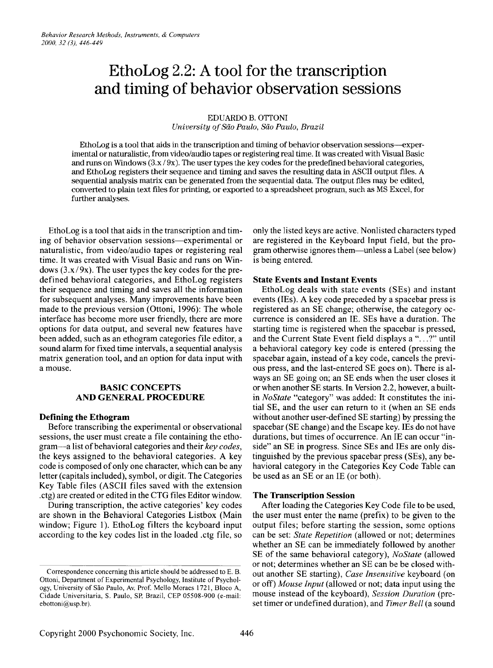# **EthoLog 2.2: A tool for the transcription and timing of behavior observation sessions**

#### EDUARDO B. OTTONI

*University ofSao Paulo, Sao Paulo, Brazil*

EthoLog is a tool that aids in the transcription and timing of behavior observation sessions-experimental or naturalistic, from video/audio tapes or registering real time. It was created with Visual Basic and runs on Windows  $(3x/9x)$ . The user types the key codes for the predefined behavioral categories, and EthoLog registers their sequence and timing and saves the resulting data in ASCII output files. A sequential analysis matrix can be generated from the sequential data. The output files may be edited, converted to plain text files for printing, or exported to a spreadsheet program, such as MSExcel, for further analyses.

EthoLog is a tool that aids in the transcription and timing of behavior observation sessions—experimental or naturalistic, from video/audio tapes or registering real time. It was created with Visual Basic and runs on Windows  $(3.x/9x)$ . The user types the key codes for the predefined behavioral categories, and EthoLog registers their sequence and timing and saves all the information for subsequent analyses. Many improvements have been made to the previous version (Ottoni, 1996): The whole interface has become more user friendly, there are more options for data output, and several new features have been added, such as an ethogram categories file editor, a sound alarm for fixed time intervals, a sequential analysis matrix generation tool, and an option for data input with a mouse.

# **BASIC CONCEPTS** ANDGENERAL PROCEDURE

## **Defining the Ethogram**

Before transcribing the experimental or observational sessions, the user must create a file containing the ethogram-a list of behavioral categories and their *key codes*, the keys assigned to the behavioral categories. A key code is composed of only one character, which can be any letter (capitals included), symbol, or digit. The Categories Key Table files (ASCII files saved with the extension .ctg) are created or edited in the CTG files Editor window.

During transcription, the active categories' key codes are shown in the Behavioral Categories Listbox (Main window; Figure 1). EthoLog filters the keyboard input according to the key codes list in the loaded .ctg file, so

only the listed keys are active. Nonlisted characters typed are registered in the Keyboard Input field, but the program otherwise ignores them-unless a Label (see below) is being entered.

# **State Events and Instant Events**

EthoLog deals with state events (SEs) and instant events (IEs). A key code preceded by a spacebar press is registered as an SE change; otherwise, the category occurrence is considered an IE. SEs have a duration. The starting time is registered when the spacebar is pressed, and the Current State Event field displays a "...?" until a behavioral category key code is entered (pressing the spacebar again, instead of a key code, cancels the previous press, and the last-entered SE goes on). There is always an SE going on; an SE ends when the user closes it or when another SE starts. In Version 2.2, however, a builtin *NoState* "category" was added: It constitutes the initial SE, and the user can return to it (when an SE ends without another user-defined SE starting) by pressing the spacebar (SE change) and the Escape key. IEs do not have durations, but times of occurrence. An IE can occur "inside" an SE in progress. Since SEs and IEs are only distinguished by the previous spacebar press (SEs), any behavioral category in the Categories Key Code Table can be used as an SE or an IE (or both).

## **The Transcription Session**

After loading the Categories Key Code file to be used, the user must enter the name (prefix) to be given to the output files; before starting the session, some options can be set: *State Repetition* (allowed or not; determines whether an SE can be immediately followed by another SE of the same behavioral category), *NoState* (allowed or not; determines whether an SE can be be closed without another SE starting), *Case Insensitive* keyboard (on or off) *Mouse Input* (allowed or not; data input using the mouse instead of the keyboard), *Session Duration* (preset timer or undefined duration), and *Timer Bell* (a sound

Correspondence concerning this article should be addressed to E. B. Ottoni, Department of Experimental Psychology, Institute of Psychology, University of São Paulo, Av. Prof. Mello Moraes 1721, Bloco A, Cidade Universitaria, S. Paulo, SP, Brazil, CEP 05508-900 (e-mail: ebottoni@usp.br).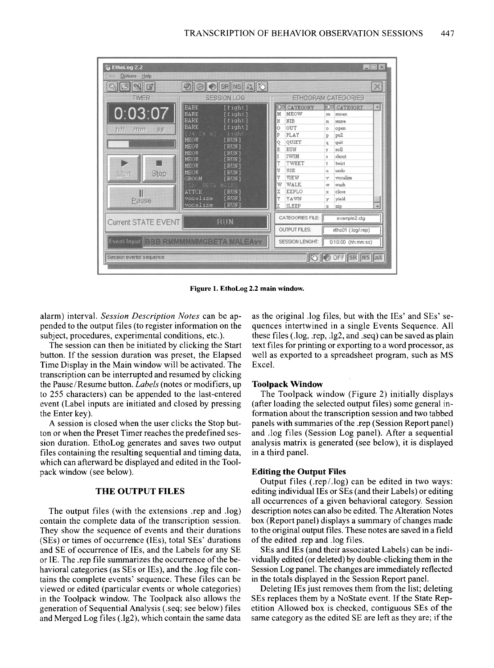

**Figure 1. EthoLog** 2.2 **main window.**

alarm) interval. *Session Description Notes* can be appended to the output files (to register information on the subject, procedures, experimental conditions, etc.).

The session can then be initiated by clicking the Start button. If the session duration was preset, the Elapsed Time Display in the Main window will be activated. The transcription can be interrupted and resumed by clicking the Pause/Resume button. *Labels* (notes or modifiers, up to 255 characters) can be appended to the last-entered event (Label inputs are initiated and closed by pressing the Enter key).

A session is closed when the user clicks the Stop button or when the Preset Timer reaches the predefined session duration. EthoLog generates and saves two output files containing the resulting sequential and timing data, which can afterward be displayed and edited in the Toolpack window (see below).

# **THE OUTPUT FILES**

The output files (with the extensions .rep and .log) contain the complete data of the transcription session. They show the sequence of events and their durations (SEs) or times of occurrence (IEs), total SEs' durations and SE of occurrence of IEs, and the Labels for any SE or IE. The .rep file summarizes the occurrence ofthe behavioral categories (as SEs or IEs), and the .log file contains the complete events' sequence. These files can be viewed or edited (particular events or whole categories) in the Toolpack window. The Toolpack also allows the generation of Sequential Analysis (.seq; see below) files and Merged Log files (.lg2), which contain the same data

as the original .log files, but with the IEs' and SEs' sequences intertwined in a single Events Sequence. All these files (.log, .rep, .lg2, and .seq) can be saved as plain text files for printing or exporting to a word processor, as well as exported to a spreadsheet program, such as MS Excel.

#### **Toolpack Window**

The Toolpack window (Figure 2) initially displays (after loading the selected output files) some general information about the transcription session and two tabbed panels with summaries of the .rep (Session Report panel) and .log files (Session Log panel). After a sequential analysis matrix is generated (see below), it is displayed in a third panel.

#### **Editing the Output Files**

Output files (.rep/.log) can be edited in two ways: editing individual IEs or SEs (and their Labels) or editing all occurrences of a given behavioral category. Session description notes can also be edited. The Alteration Notes box (Report panel) displays a summary of changes made to the original output files. These notes are saved in a field of the edited .rep and .log files.

SEs and IEs (and their associated Labels) can be individually edited (or deleted) by double-clicking them in the Session Log panel. The changes are immediately reflected in the totals displayed in the Session Report panel.

Deleting IEs just removes them from the list; deleting SEs replaces them by a NoState event. If the State Repetition Allowed box is checked, contiguous SEs of the same category as the edited SE are left as they are; if the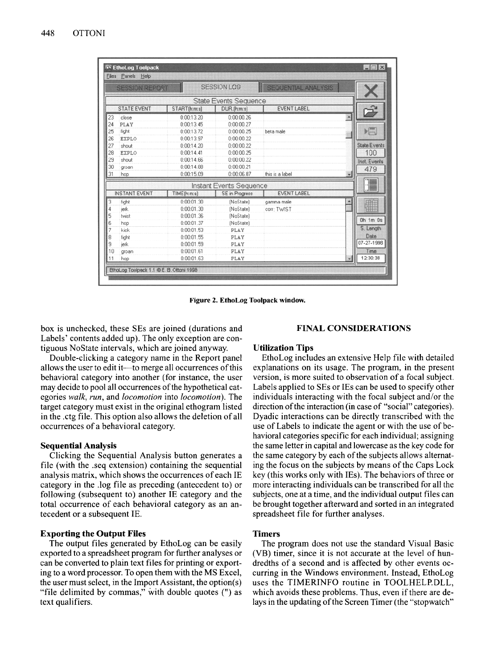|    | <b>SESSION REPORT</b> |              | <b>SESSION LOG</b>           | SEQUENTIAL ANALYSIS |                     |
|----|-----------------------|--------------|------------------------------|---------------------|---------------------|
|    |                       |              | <b>State Events Sequence</b> |                     |                     |
|    | <b>STATE EVENT</b>    | START(h:m:s) | DUR.(htm:s)                  | <b>EVENT LABEL</b>  |                     |
| 23 | close                 | 0:00:13.20   | 0:00:00.26                   |                     |                     |
| 24 | PLAY                  | 0:00:13.45   | 0:00:00.27                   |                     |                     |
| 25 | fight                 | 0:00:13.72   | 0:00:00.25                   | beta male           | ) i                 |
| 26 | <b>EXPLO</b>          | 0:00:13.97   | 0:00:00.22                   |                     |                     |
| 27 | shout                 | 0:00:14.20   | 0:00:00.22                   |                     | <b>State Events</b> |
| 28 | <b>EXPLO</b>          | 0:00:14.41   | 0:00:00.25                   |                     | 100                 |
| 29 | shout                 | 0:00:14.66   | 0:00:00.22                   |                     | Inst. Events        |
| 30 | groan                 | 0:00:14.88   | 0:00:00.21                   |                     | 479                 |
| 31 | hop                   | 0:00:15.09   | 0:00:06.87                   | this is a label     |                     |
|    |                       |              | Instant Events Sequence      |                     | T                   |
|    | <b>INSTANT EVENT</b>  | TIME(h:m:s)  | <b>SE</b> in Progress        | <b>EVENT LABEL</b>  |                     |
| 3  | fight                 | 0:00:01.30   | (NoState)                    | gamma male          | ă                   |
|    | ierk                  | 0:00:01.30   | (NoState)                    | corr: TWIST         |                     |
| 5  | twist                 | 0:00:01.36   | (NoState)                    |                     |                     |
|    | hop                   | 0:00:01.37   | (NoState)                    |                     | Oh 1m Os            |
|    | kick                  | 0:00:01.53   | PLAY                         |                     | S. Length           |
| 8  | fight                 | 0:00:01.55   | PLAY                         |                     | Date                |
| 9  | ierk                  | 0:00:01.59   | PLAY                         |                     | 07-27-1998          |
| 10 | groan                 | 0:00:01.61   | PLAY                         |                     | Time                |
| 11 | hop                   | 0:00:01.63   | PLAY                         |                     | 12:30:38<br>₩       |

Figure 2. EthoLog Toolpack window.

box is unchecked, these SEs are joined (durations and Labels' contents added up). The only exception are contiguous NoState intervals, which are joined anyway.

Double-clicking a category name in the Report panel allows the user to edit it—to merge all occurrences of this behavioral category into another (for instance, the user may decide to pool all occurrences of the hypothetical categories *walk, run,* and *locomotion* into *locomotion).* The target category must exist in the original ethogram listed in the .ctg file. This option also allows the deletion ofall occurrences of a behavioral category.

# Sequential Analysis

Clicking the Sequential Analysis button generates a file (with the .seq extension) containing the sequential analysis matrix, which shows the occurrences ofeach IE category in the .log file as preceding (antecedent to) or following (subsequent to) another IE category and the total occurrence of each behavioral category as an antecedent or a subsequent IE.

#### Exporting the Output Files

The output files generated by EthoLog can be easily exported to a spreadsheet program for further analyses or can be converted to plain text files for printing or exporting to a word processor. To open them with the MS Excel, the user must select, in the Import Assistant, the option(s) "file delimited by commas," with double quotes (") as text qualifiers.

## FINAL CONSIDERATIONS

#### Utilization Tips

EthoLog includes an extensive Help file with detailed explanations on its usage. The program, in the present version, is more suited to observation of a focal subject. Labels applied to SEs or IEs can be used to specify other individuals interacting with the focal subject and/or the direction of the interaction (in case of "social" categories). Dyadic interactions can be directly transcribed with the use of Labels to indicate the agent or with the use of behavioral categories specific for each individual; assigning the same letter in capital and lowercase as the key code for the same category by each of the subjects allows alternating the focus on the subjects by means of the Caps Lock key (this works only with IEs). The behaviors of three or more interacting individuals can be transcribed for all the subjects, one at a time, and the individual output files can be brought together afterward and sorted in an integrated spreadsheet file for further analyses.

# **Timers**

The program does not use the standard Visual Basic (VB) timer, since it is not accurate at the level of hundredths of a second and is affected by other events occurring in the Windows environment. Instead, EthoLog uses the TIMERINFO routine in TOOLHELP.DLL, which avoids these problems. Thus, even if there are delays in the updating of the Screen Timer (the "stopwatch"